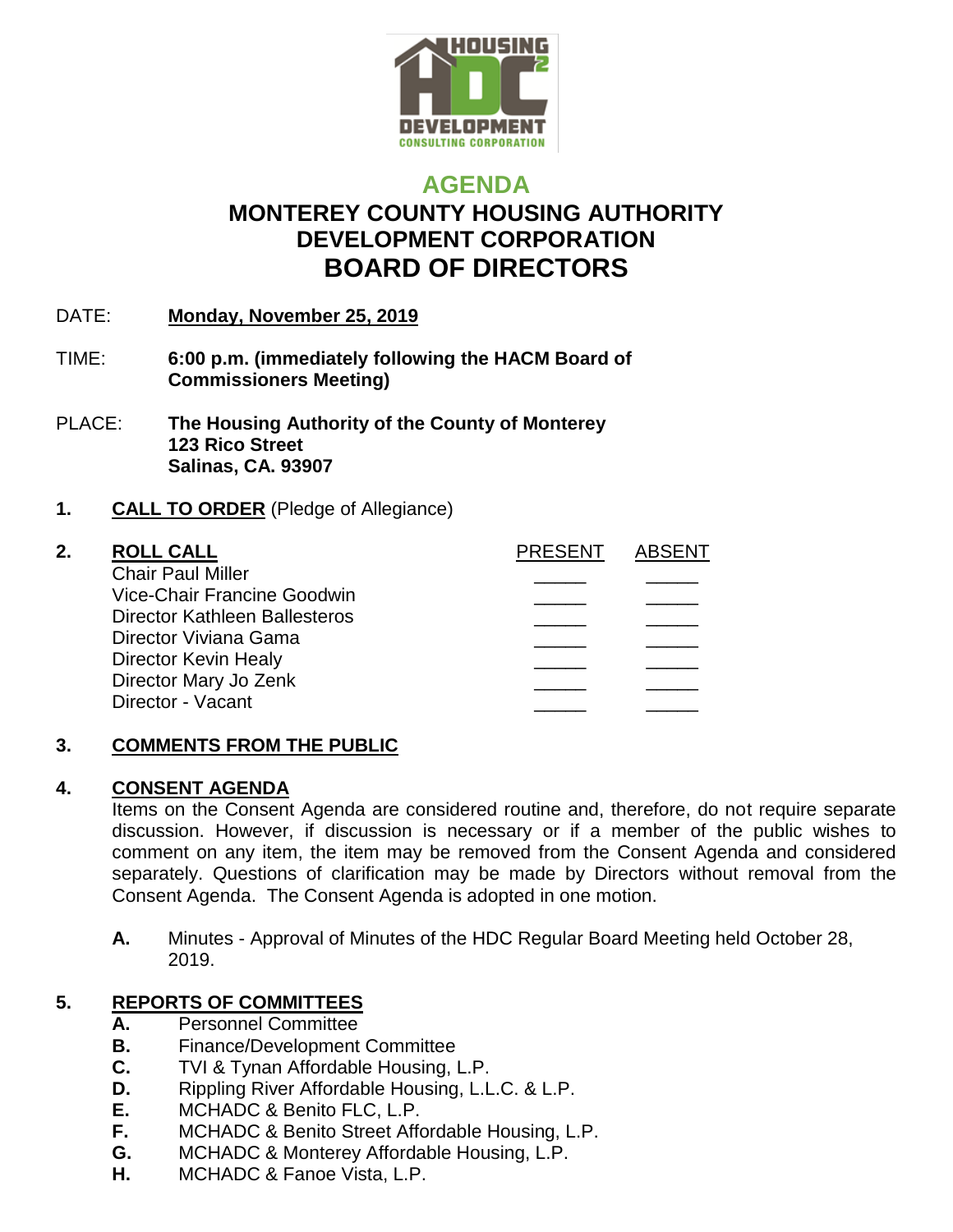

# **AGENDA MONTEREY COUNTY HOUSING AUTHORITY DEVELOPMENT CORPORATION BOARD OF DIRECTORS**

- DATE: **Monday, November 25, 2019**
- TIME: **6:00 p.m. (immediately following the HACM Board of Commissioners Meeting)**
- PLACE: **The Housing Authority of the County of Monterey 123 Rico Street Salinas, CA. 93907**

## **1. CALL TO ORDER** (Pledge of Allegiance)

Chair Paul Miller Vice-Chair Francine Goodwin \_\_\_\_\_ \_\_\_\_\_ Director Kathleen Ballesteros Director Viviana Gama Director Kevin Healy Director Mary Jo Zenk Director - Vacant

| 2. | <b>ROLL CALL</b>              | <b>PRESENT</b> | ABSENT |
|----|-------------------------------|----------------|--------|
|    | <b>Chair Paul Miller</b>      |                |        |
|    | Vice-Chair Francine Goodwin   |                |        |
|    | Director Kathleen Ballesteros |                |        |
|    | Director Viviana Gama         |                |        |
|    | Director Kevin Healy          |                |        |
|    | Director Mary Jo Zenk         |                |        |
|    |                               |                |        |

## **3. COMMENTS FROM THE PUBLIC**

### **4. CONSENT AGENDA**

Items on the Consent Agenda are considered routine and, therefore, do not require separate discussion. However, if discussion is necessary or if a member of the public wishes to comment on any item, the item may be removed from the Consent Agenda and considered separately. Questions of clarification may be made by Directors without removal from the Consent Agenda. The Consent Agenda is adopted in one motion.

**A.** Minutes - Approval of Minutes of the HDC Regular Board Meeting held October 28, 2019.

## **5. REPORTS OF COMMITTEES**

- **A.** Personnel Committee
- **B.** Finance/Development Committee
- **C.** TVI & Tynan Affordable Housing, L.P.
- **D.** Rippling River Affordable Housing, L.L.C. & L.P.
- **E.** MCHADC & Benito FLC, L.P.
- **F.** MCHADC & Benito Street Affordable Housing, L.P.
- **G.** MCHADC & Monterey Affordable Housing, L.P.
- **H.** MCHADC & Fanoe Vista, L.P.